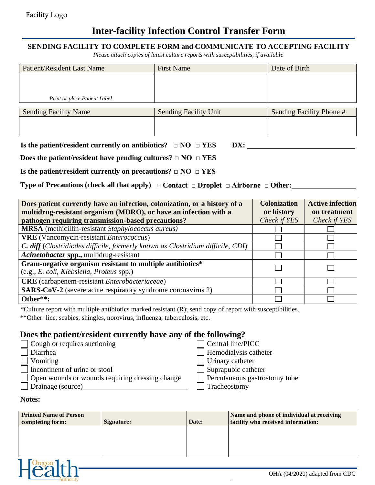## **Inter-facility Infection Control Transfer Form**

### **SENDING FACILITY TO COMPLETE FORM and COMMUNICATE TO ACCEPTING FACILITY**

*Please attach copies of latest culture reports with susceptibilities, if available*

| Patient/Resident Last Name   | <b>First Name</b>            | Date of Birth            |
|------------------------------|------------------------------|--------------------------|
|                              |                              |                          |
|                              |                              |                          |
| Print or place Patient Label |                              |                          |
|                              |                              |                          |
| <b>Sending Facility Name</b> | <b>Sending Facility Unit</b> | Sending Facility Phone # |
|                              |                              |                          |
|                              |                              |                          |

| Is the patient/resident currently on antibiotics? $\Box$ NO $\Box$ YES |  | DX: |
|------------------------------------------------------------------------|--|-----|
|------------------------------------------------------------------------|--|-----|

**Does the patient/resident have pending cultures? □ NO □ YES** 

**Is the patient/resident currently on precautions? □ NO □ YES**

**Type of Precautions (check all that apply) □ Contact □ Droplet □ Airborne □ Other:**

| Does patient currently have an infection, colonization, or a history of a       | <b>Colonization</b> | <b>Active infection</b> |
|---------------------------------------------------------------------------------|---------------------|-------------------------|
| multidrug-resistant organism (MDRO), or have an infection with a                | or history          | on treatment            |
| pathogen requiring transmission-based precautions?                              | Check if YES        | Check if YES            |
| <b>MRSA</b> (methicillin-resistant Staphylococcus aureus)                       |                     |                         |
| <b>VRE</b> (Vancomycin-resistant <i>Enterococcus</i> )                          |                     |                         |
| C. diff (Clostridiodes difficile, formerly known as Clostridium difficile, CDI) |                     |                         |
| Acinetobacter spp., multidrug-resistant                                         |                     |                         |
| Gram-negative organism resistant to multiple antibiotics*                       |                     |                         |
| (e.g., E. coli, Klebsiella, Proteus spp.)                                       |                     |                         |
| <b>CRE</b> (carbapenem-resistant Enterobacteriaceae)                            |                     |                         |
| <b>SARS-CoV-2</b> (severe acute respiratory syndrome coronavirus 2)             |                     |                         |
| Other**:                                                                        |                     |                         |

\*Culture report with multiple antibiotics marked resistant (R); send copy of report with susceptibilities.

\*\*Other: lice, scabies, shingles, norovirus, influenza, tuberculosis, etc.

### **Does the patient/resident currently have any of the following?**

| $\Box$ Cough or requires suctioning                    | Central line/PICC             |
|--------------------------------------------------------|-------------------------------|
| Diarrhea                                               | Hemodialysis catheter         |
| Vomiting                                               | Urinary catheter              |
| Incontinent of urine or stool                          | $\Box$ Suprapubic catheter    |
| $\Box$ Open wounds or wounds requiring dressing change | Percutaneous gastrostomy tube |
| Drainage (source)                                      | Tracheostomy                  |

### **Notes:**

| <b>Printed Name of Person</b><br>completing form: | Signature: | Date: | Name and phone of individual at receiving<br>facility who received information: |
|---------------------------------------------------|------------|-------|---------------------------------------------------------------------------------|
|                                                   |            |       |                                                                                 |
|                                                   |            |       |                                                                                 |
|                                                   |            |       |                                                                                 |
|                                                   |            |       | OHA (04/2020) adapted from CDC                                                  |